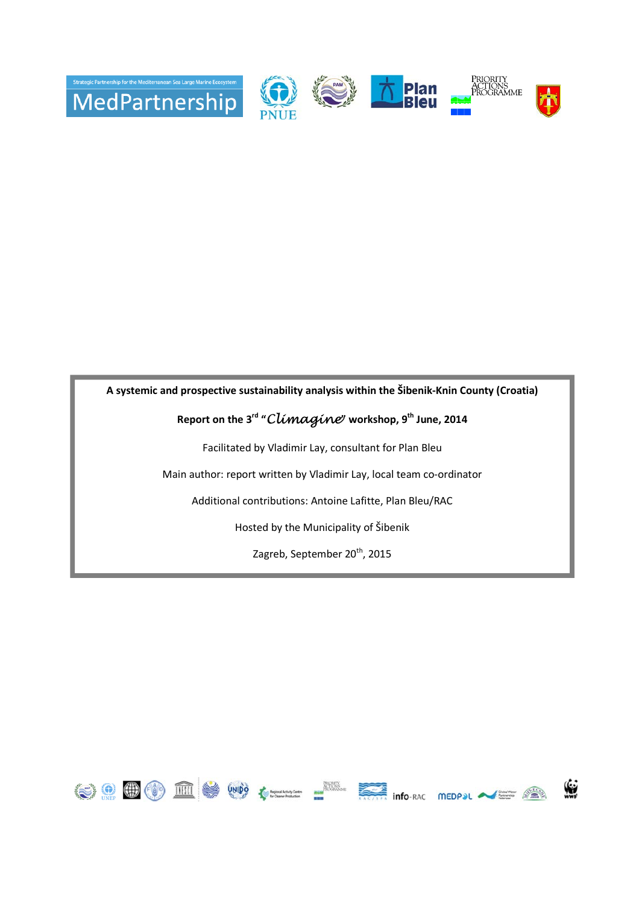

**A systemic and prospective sustainability analysis within the Šibenik-Knin County (Croatia)**

# **Report on the 3rd "**Climagine**" workshop, 9th June, 2014**

Facilitated by Vladimir Lay, consultant for Plan Bleu

Main author: report written by Vladimir Lay, local team co-ordinator

Additional contributions: Antoine Lafitte, Plan Bleu/RAC

Hosted by the Municipality of Šibenik

Zagreb, September 20<sup>th</sup>, 2015

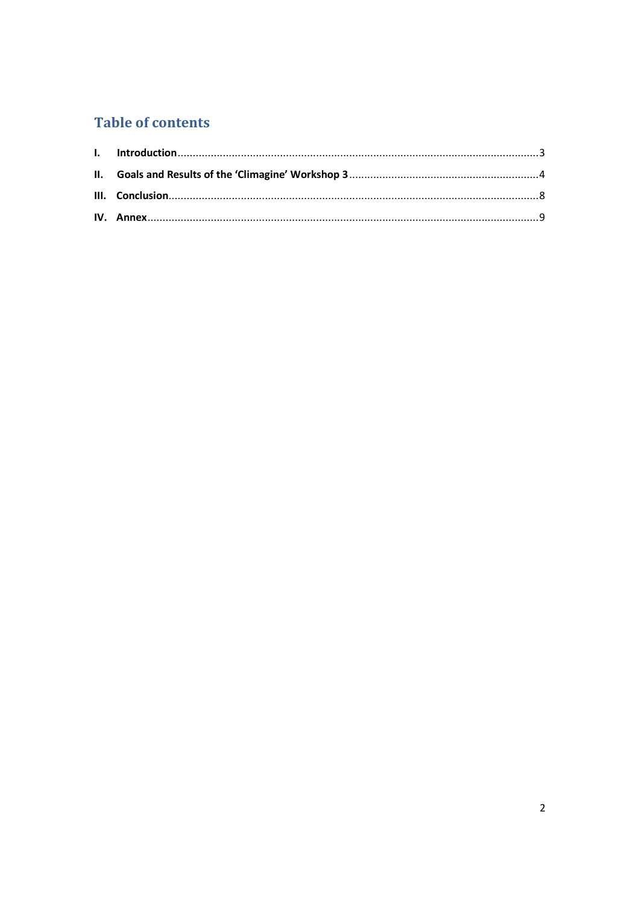# **Table of contents**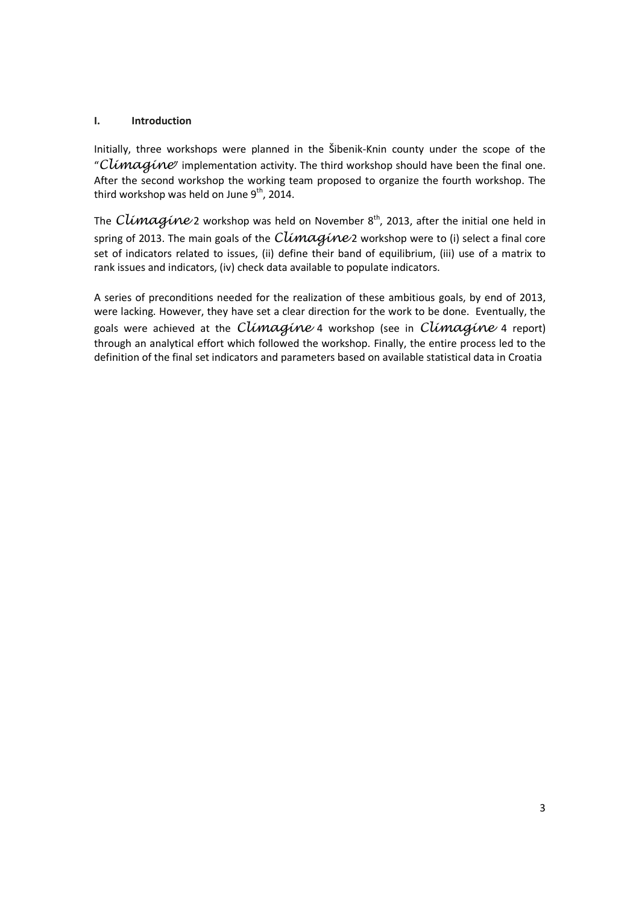# **I. Introduction**

Initially, three workshops were planned in the Šibenik-Knin county under the scope of the "Climagine" implementation activity. The third workshop should have been the final one. After the second workshop the working team proposed to organize the fourth workshop. The third workshop was held on June  $9<sup>th</sup>$ , 2014.

The Climagine 2 workshop was held on November  $8<sup>th</sup>$ , 2013, after the initial one held in spring of 2013. The main goals of the  $Climaqine$ 2 workshop were to (i) select a final core set of indicators related to issues, (ii) define their band of equilibrium, (iii) use of a matrix to rank issues and indicators, (iv) check data available to populate indicators.

A series of preconditions needed for the realization of these ambitious goals, by end of 2013, were lacking. However, they have set a clear direction for the work to be done. Eventually, the goals were achieved at the Climagine 4 workshop (see in Climagine 4 report) through an analytical effort which followed the workshop. Finally, the entire process led to the definition of the final set indicators and parameters based on available statistical data in Croatia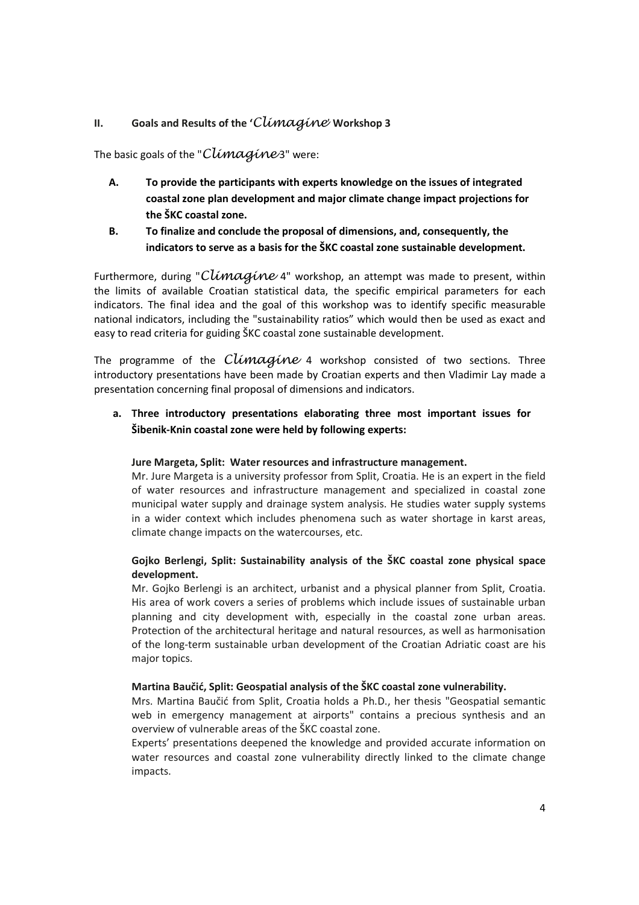# **II. Goals and Results of the '**Climagine' **Workshop 3**

The basic goals of the "Climagine3" were:

- **A. To provide the participants with experts knowledge on the issues of integrated coastal zone plan development and major climate change impact projections for the ŠKC coastal zone.**
- **B. To finalize and conclude the proposal of dimensions, and, consequently, the indicators to serve as a basis for the ŠKC coastal zone sustainable development.**

Furthermore, during "Climagine 4" workshop, an attempt was made to present, within the limits of available Croatian statistical data, the specific empirical parameters for each indicators. The final idea and the goal of this workshop was to identify specific measurable national indicators, including the "sustainability ratios" which would then be used as exact and easy to read criteria for guiding ŠKC coastal zone sustainable development.

The programme of the  $Climaqine$  4 workshop consisted of two sections. Three introductory presentations have been made by Croatian experts and then Vladimir Lay made a presentation concerning final proposal of dimensions and indicators.

**a. Three introductory presentations elaborating three most important issues for Šibenik-Knin coastal zone were held by following experts:** 

# **Jure Margeta, Split: Water resources and infrastructure management.**

Mr. Jure Margeta is a university professor from Split, Croatia. He is an expert in the field of water resources and infrastructure management and specialized in coastal zone municipal water supply and drainage system analysis. He studies water supply systems in a wider context which includes phenomena such as water shortage in karst areas, climate change impacts on the watercourses, etc.

# **Gojko Berlengi, Split: Sustainability analysis of the ŠKC coastal zone physical space development.**

Mr. Gojko Berlengi is an architect, urbanist and a physical planner from Split, Croatia. His area of work covers a series of problems which include issues of sustainable urban planning and city development with, especially in the coastal zone urban areas. Protection of the architectural heritage and natural resources, as well as harmonisation of the long-term sustainable urban development of the Croatian Adriatic coast are his major topics.

# **Martina Baučić, Split: Geospatial analysis of the ŠKC coastal zone vulnerability.**

Mrs. Martina Baučić from Split, Croatia holds a Ph.D., her thesis "Geospatial semantic web in emergency management at airports" contains a precious synthesis and an overview of vulnerable areas of the ŠKC coastal zone.

Experts' presentations deepened the knowledge and provided accurate information on water resources and coastal zone vulnerability directly linked to the climate change impacts.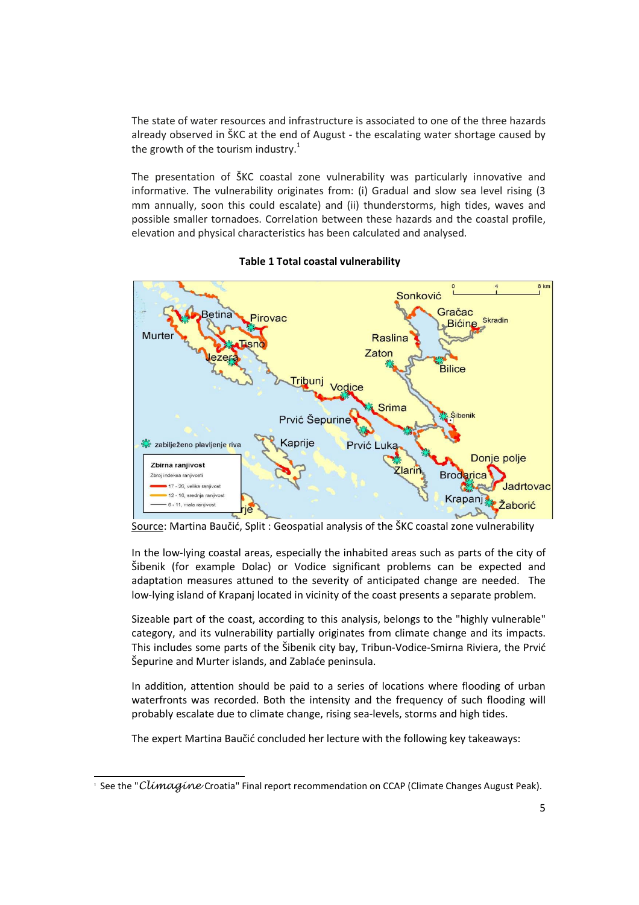The state of water resources and infrastructure is associated to one of the three hazards already observed in ŠKC at the end of August - the escalating water shortage caused by the growth of the tourism industry. $1$ 

The presentation of ŠKC coastal zone vulnerability was particularly innovative and informative. The vulnerability originates from: (i) Gradual and slow sea level rising (3 mm annually, soon this could escalate) and (ii) thunderstorms, high tides, waves and possible smaller tornadoes. Correlation between these hazards and the coastal profile, elevation and physical characteristics has been calculated and analysed.



**Table 1 Total coastal vulnerability** 

Source: Martina Baučić, Split : Geospatial analysis of the ŠKC coastal zone vulnerability

In the low-lying coastal areas, especially the inhabited areas such as parts of the city of Šibenik (for example Dolac) or Vodice significant problems can be expected and adaptation measures attuned to the severity of anticipated change are needed. The low-lying island of Krapanj located in vicinity of the coast presents a separate problem.

Sizeable part of the coast, according to this analysis, belongs to the "highly vulnerable" category, and its vulnerability partially originates from climate change and its impacts. This includes some parts of the Šibenik city bay, Tribun-Vodice-Smirna Riviera, the Prvić Šepurine and Murter islands, and Zablaće peninsula.

In addition, attention should be paid to a series of locations where flooding of urban waterfronts was recorded. Both the intensity and the frequency of such flooding will probably escalate due to climate change, rising sea-levels, storms and high tides.

The expert Martina Baučić concluded her lecture with the following key takeaways:

<sup>&</sup>lt;u>.</u> <sup>1</sup> See the "Climagine Croatia" Final report recommendation on CCAP (Climate Changes August Peak).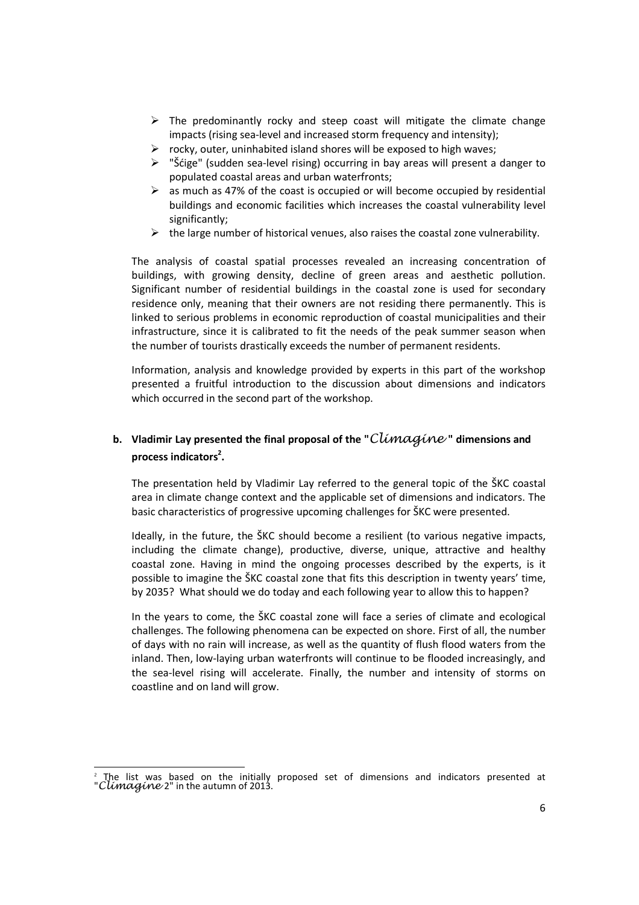- $\triangleright$  The predominantly rocky and steep coast will mitigate the climate change impacts (rising sea-level and increased storm frequency and intensity);
- $\triangleright$  rocky, outer, uninhabited island shores will be exposed to high waves;
- $\triangleright$  "Šćige" (sudden sea-level rising) occurring in bay areas will present a danger to populated coastal areas and urban waterfronts;
- $\triangleright$  as much as 47% of the coast is occupied or will become occupied by residential buildings and economic facilities which increases the coastal vulnerability level significantly;
- $\triangleright$  the large number of historical venues, also raises the coastal zone vulnerability.

The analysis of coastal spatial processes revealed an increasing concentration of buildings, with growing density, decline of green areas and aesthetic pollution. Significant number of residential buildings in the coastal zone is used for secondary residence only, meaning that their owners are not residing there permanently. This is linked to serious problems in economic reproduction of coastal municipalities and their infrastructure, since it is calibrated to fit the needs of the peak summer season when the number of tourists drastically exceeds the number of permanent residents.

Information, analysis and knowledge provided by experts in this part of the workshop presented a fruitful introduction to the discussion about dimensions and indicators which occurred in the second part of the workshop.

# **b.** Vladimir Lay presented the final proposal of the "Climagine" dimensions and **process indicators<sup>2</sup> .**

The presentation held by Vladimir Lay referred to the general topic of the ŠKC coastal area in climate change context and the applicable set of dimensions and indicators. The basic characteristics of progressive upcoming challenges for ŠKC were presented.

Ideally, in the future, the ŠKC should become a resilient (to various negative impacts, including the climate change), productive, diverse, unique, attractive and healthy coastal zone. Having in mind the ongoing processes described by the experts, is it possible to imagine the ŠKC coastal zone that fits this description in twenty years' time, by 2035? What should we do today and each following year to allow this to happen?

In the years to come, the ŠKC coastal zone will face a series of climate and ecological challenges. The following phenomena can be expected on shore. First of all, the number of days with no rain will increase, as well as the quantity of flush flood waters from the inland. Then, low-laying urban waterfronts will continue to be flooded increasingly, and the sea-level rising will accelerate. Finally, the number and intensity of storms on coastline and on land will grow.

<sup>&</sup>lt;u>.</u> The list was based on the initially proposed set of dimensions and indicators presented at "Climagine 2" in the autumn of 2013.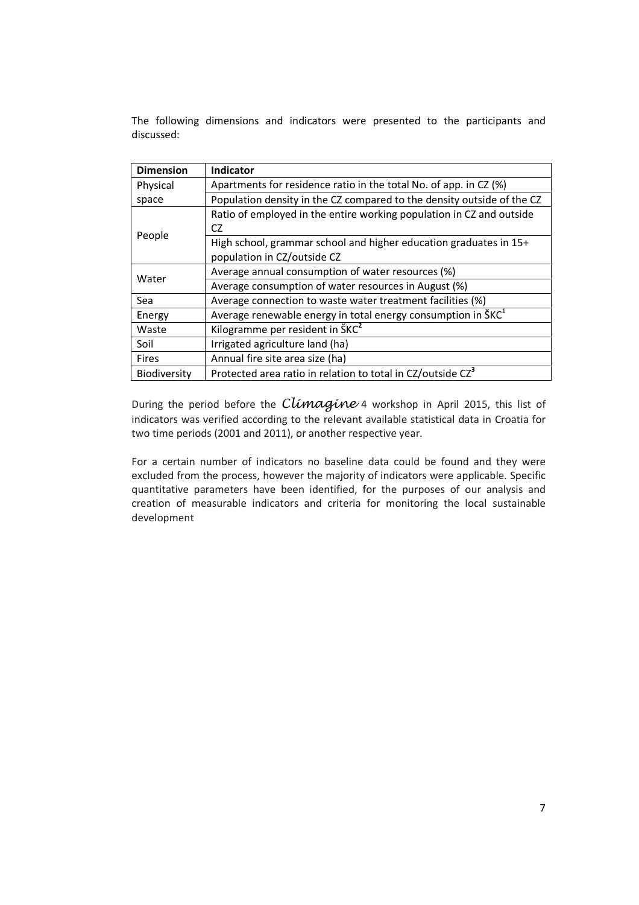The following dimensions and indicators were presented to the participants and discussed:

| <b>Dimension</b> | <b>Indicator</b>                                                                       |
|------------------|----------------------------------------------------------------------------------------|
| Physical         | Apartments for residence ratio in the total No. of app. in CZ (%)                      |
| space            | Population density in the CZ compared to the density outside of the CZ                 |
|                  | Ratio of employed in the entire working population in CZ and outside                   |
|                  | CZ                                                                                     |
| People           | High school, grammar school and higher education graduates in 15+                      |
|                  | population in CZ/outside CZ                                                            |
| Water            | Average annual consumption of water resources (%)                                      |
|                  | Average consumption of water resources in August (%)                                   |
| Sea              | Average connection to waste water treatment facilities (%)                             |
| Energy           | Average renewable energy in total energy consumption in $\text{S} \text{K} \text{C}^1$ |
| Waste            | Kilogramme per resident in ŠKC <sup>2</sup>                                            |
| Soil             | Irrigated agriculture land (ha)                                                        |
| <b>Fires</b>     | Annual fire site area size (ha)                                                        |
| Biodiversity     | Protected area ratio in relation to total in CZ/outside CZ <sup>3</sup>                |

During the period before the Climagine 4 workshop in April 2015, this list of indicators was verified according to the relevant available statistical data in Croatia for two time periods (2001 and 2011), or another respective year.

For a certain number of indicators no baseline data could be found and they were excluded from the process, however the majority of indicators were applicable. Specific quantitative parameters have been identified, for the purposes of our analysis and creation of measurable indicators and criteria for monitoring the local sustainable development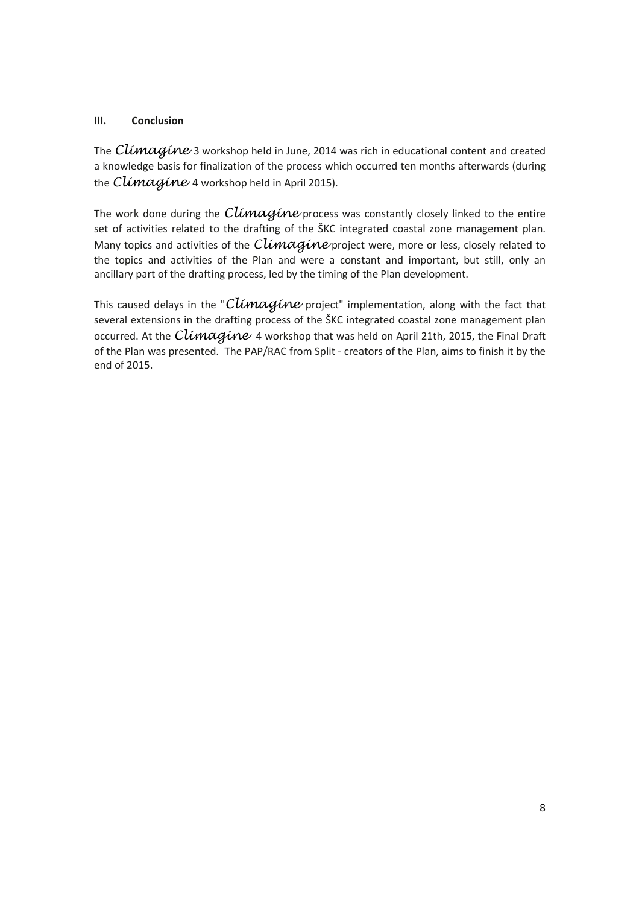# **III. Conclusion**

The  $Climaqine$  3 workshop held in June, 2014 was rich in educational content and created a knowledge basis for finalization of the process which occurred ten months afterwards (during the Climagine 4 workshop held in April 2015).

The work done during the  $Climaqine$  process was constantly closely linked to the entire set of activities related to the drafting of the ŠKC integrated coastal zone management plan. Many topics and activities of the  $Climaqine$  project were, more or less, closely related to the topics and activities of the Plan and were a constant and important, but still, only an ancillary part of the drafting process, led by the timing of the Plan development.

This caused delays in the "Climagine project" implementation, along with the fact that several extensions in the drafting process of the ŠKC integrated coastal zone management plan occurred. At the Climagine 4 workshop that was held on April 21th, 2015, the Final Draft of the Plan was presented. The PAP/RAC from Split - creators of the Plan, aims to finish it by the end of 2015.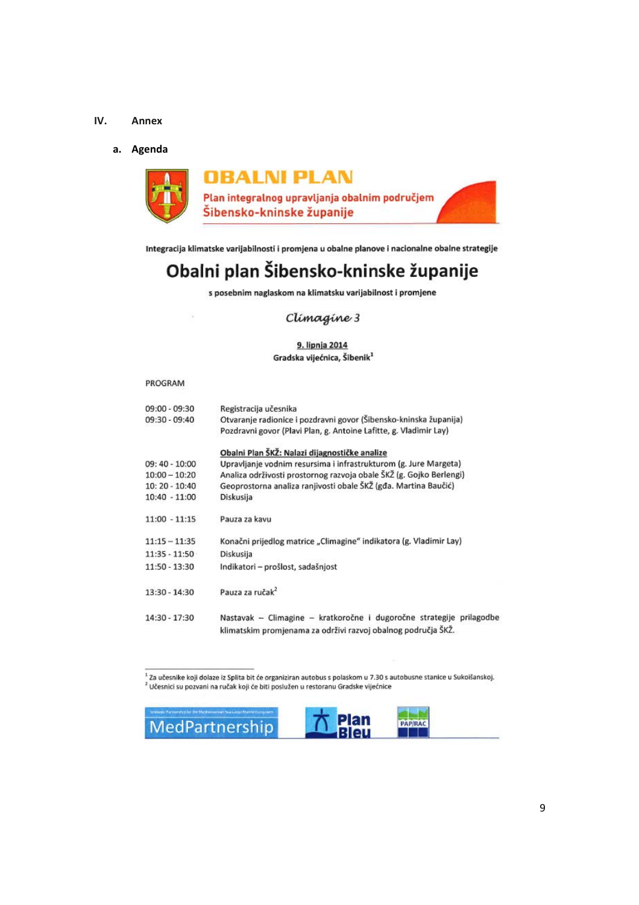#### **IV. Annex**

#### **a. Agenda**



Integracija klimatske varijabilnosti i promjena u obalne planove i nacionalne obalne strategije

# Obalni plan Šibensko-kninske županije

s posebnim naglaskom na klimatsku varijabilnost i promjene

# Climagine 3

#### 9. lipnja 2014 Gradska vijećnica, Šibenik<sup>1</sup>

#### PROGRAM

| $09:00 - 09:30$ | Registracija učesnika                                                |
|-----------------|----------------------------------------------------------------------|
| 09:30 - 09:40   | Otvaranje radionice i pozdravni govor (Šibensko-kninska županija)    |
|                 | Pozdravni govor (Plavi Plan, g. Antoine Lafitte, g. Vladimir Lay)    |
|                 | Obalni Plan ŠKŽ: Nalazi dijagnostičke analize                        |
| $09:40 - 10:00$ | Upravljanje vodnim resursima i infrastrukturom (g. Jure Margeta)     |
| $10:00 - 10:20$ | Analiza održivosti prostornog razvoja obale ŠKŽ (g. Gojko Berlengi)  |
| 10: 20 - 10:40  | Geoprostorna analiza ranjivosti obale ŠKŽ (gđa. Martina Baučić)      |
| $10:40 - 11:00$ | Diskusija                                                            |
| $11:00 - 11:15$ | Pauza za kavu                                                        |
| $11:15 - 11:35$ | Konačni prijedlog matrice "Climagine" indikatora (g. Vladimir Lay)   |
| $11:35 - 11:50$ | Diskusija                                                            |
| 11:50 - 13:30   | Indikatori - prošlost, sadašnjost                                    |
| 13:30 - 14:30   | Pauza za ručak <sup>2</sup>                                          |
| 14:30 - 17:30   | Nastavak - Climagine - kratkoročne i dugoročne strategije prilagodbe |
|                 | klimatskim promjenama za održivi razvoj obalnog područja ŠKŽ.        |

 $^{1}$ Za učesnike koji dolaze iz Splita bit će organiziran autobus s polaskom u 7.30 s autobusne stanice u Sukoišanskoj. zu deesniet koji dolaze iz spinal bit će organizman detobas s polaskom a 7.50 s d<br><sup>2</sup> Učesnici su pozvani na ručak koji će biti poslužen u restoranu Gradske vijećnice

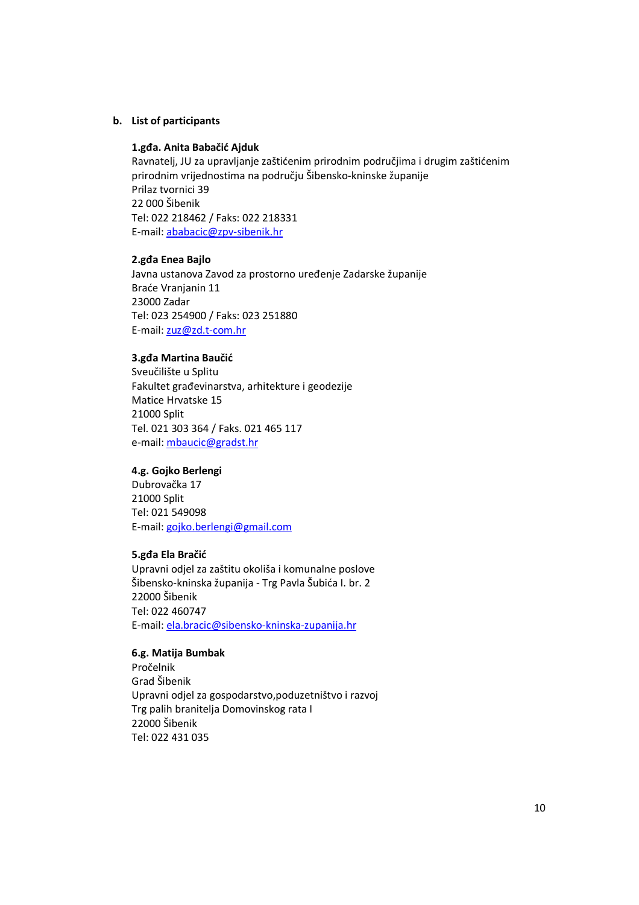## **b. List of participants**

#### **1.gđa. Anita Babačić Ajduk**

Ravnatelj, JU za upravljanje zaštićenim prirodnim područjima i drugim zaštićenim prirodnim vrijednostima na području Šibensko-kninske županije Prilaz tvornici 39 22 000 Šibenik Tel: 022 218462 / Faks: 022 218331 E-mail: ababacic@zpv-sibenik.hr

#### **2.gđa Enea Bajlo**

Javna ustanova Zavod za prostorno uređenje Zadarske županije Braće Vranjanin 11 23000 Zadar Tel: 023 254900 / Faks: 023 251880 E-mail: zuz@zd.t-com.hr

# **3.gđa Martina Baučić**

Sveučilište u Splitu Fakultet građevinarstva, arhitekture i geodezije Matice Hrvatske 15 21000 Split Tel. 021 303 364 / Faks. 021 465 117 e-mail: mbaucic@gradst.hr

#### **4.g. Gojko Berlengi**

Dubrovačka 17 21000 Split Tel: 021 549098 E-mail: gojko.berlengi@gmail.com

#### **5.gđa Ela Bračić**

Upravni odjel za zaštitu okoliša i komunalne poslove Šibensko-kninska županija - Trg Pavla Šubića I. br. 2 22000 Šibenik Tel: 022 460747 E-mail: ela.bracic@sibensko-kninska-zupanija.hr

# **6.g. Matija Bumbak**

Pročelnik Grad Šibenik Upravni odjel za gospodarstvo,poduzetništvo i razvoj Trg palih branitelja Domovinskog rata I 22000 Šibenik Tel: 022 431 035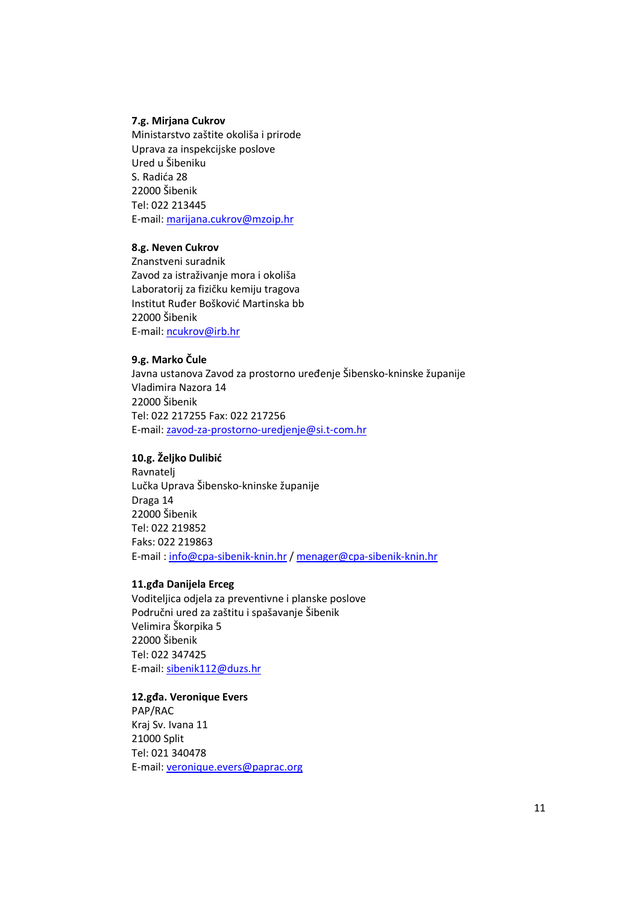## **7.g. Mirjana Cukrov**

Ministarstvo zaštite okoliša i prirode Uprava za inspekcijske poslove Ured u Šibeniku S. Radića 28 22000 Šibenik Tel: 022 213445 E-mail: marijana.cukrov@mzoip.hr

#### **8.g. Neven Cukrov**

Znanstveni suradnik Zavod za istraživanje mora i okoliša Laboratorij za fizičku kemiju tragova Institut Ruđer Bošković Martinska bb 22000 Šibenik E-mail: ncukrov@irb.hr

# **9.g. Marko Čule**

Javna ustanova Zavod za prostorno uređenje Šibensko-kninske županije Vladimira Nazora 14 22000 Šibenik Tel: 022 217255 Fax: 022 217256 E-mail: zavod-za-prostorno-uredjenje@si.t-com.hr

# **10.g. Željko Dulibić**

Ravnatelj Lučka Uprava Šibensko-kninske županije Draga 14 22000 Šibenik Tel: 022 219852 Faks: 022 219863 E-mail : info@cpa-sibenik-knin.hr / menager@cpa-sibenik-knin.hr

#### **11.gđa Danijela Erceg**

Voditeljica odjela za preventivne i planske poslove Područni ured za zaštitu i spašavanje Šibenik Velimira Škorpika 5 22000 Šibenik Tel: 022 347425 E-mail: sibenik112@duzs.hr

**12.gđa. Veronique Evers**  PAP/RAC Kraj Sv. Ivana 11 21000 Split Tel: 021 340478 E-mail: veronique.evers@paprac.org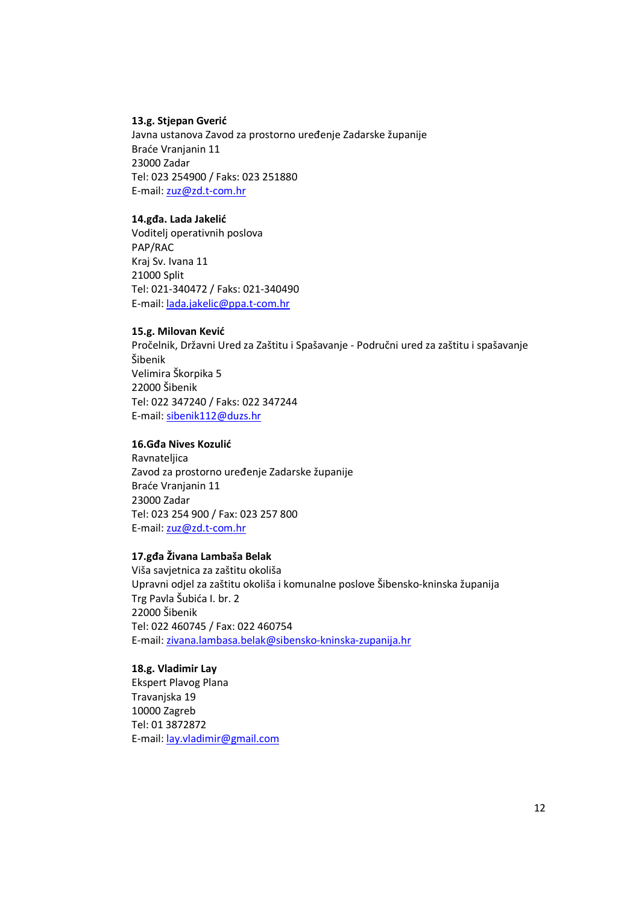# **13.g. Stjepan Gverić**

Javna ustanova Zavod za prostorno uređenje Zadarske županije Braće Vranjanin 11 23000 Zadar Tel: 023 254900 / Faks: 023 251880 E-mail: zuz@zd.t-com.hr

# **14.gđa. Lada Jakelić**

Voditelj operativnih poslova PAP/RAC Kraj Sv. Ivana 11 21000 Split Tel: 021-340472 / Faks: 021-340490 E-mail: lada.jakelic@ppa.t-com.hr

# **15.g. Milovan Kević**

Pročelnik, Državni Ured za Zaštitu i Spašavanje - Područni ured za zaštitu i spašavanje Šibenik Velimira Škorpika 5 22000 Šibenik Tel: 022 347240 / Faks: 022 347244 E-mail: sibenik112@duzs.hr

# **16.Gđa Nives Kozulić**

Ravnateljica Zavod za prostorno uređenje Zadarske županije Braće Vranjanin 11 23000 Zadar Tel: 023 254 900 / Fax: 023 257 800 E-mail: zuz@zd.t-com.hr

# **17.gđa Živana Lambaša Belak**

Viša savjetnica za zaštitu okoliša Upravni odjel za zaštitu okoliša i komunalne poslove Šibensko-kninska županija Trg Pavla Šubića I. br. 2 22000 Šibenik Tel: 022 460745 / Fax: 022 460754 E-mail: zivana.lambasa.belak@sibensko-kninska-zupanija.hr

# **18.g. Vladimir Lay**

Ekspert Plavog Plana Travanjska 19 10000 Zagreb Tel: 01 3872872 E-mail: lay.vladimir@gmail.com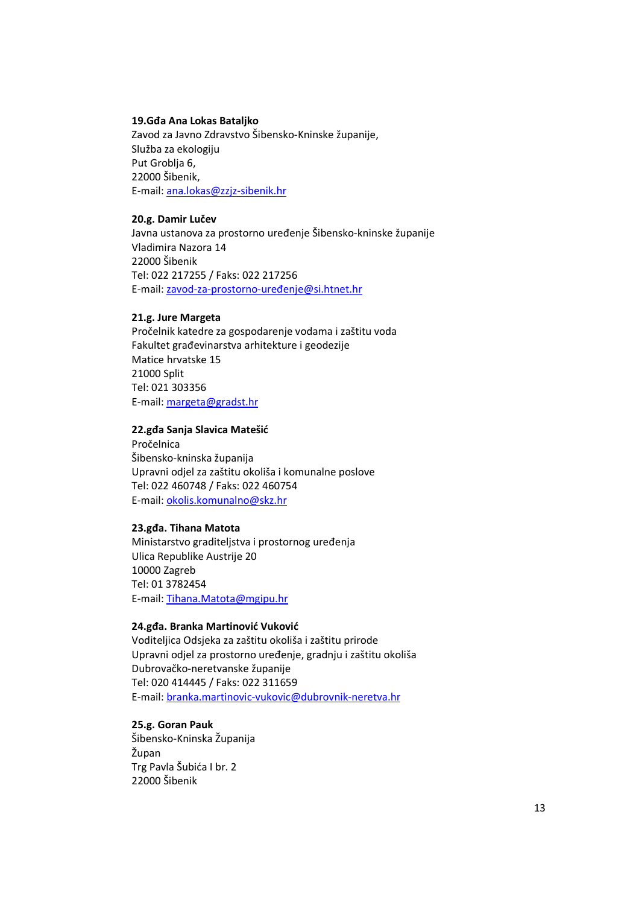#### **19.Gđa Ana Lokas Bataljko**

Zavod za Javno Zdravstvo Šibensko-Kninske županije, Služba za ekologiju Put Groblia 6. 22000 Šibenik, E-mail: ana.lokas@zzjz-sibenik.hr

# **20.g. Damir Lučev**

Javna ustanova za prostorno uređenje Šibensko-kninske županije Vladimira Nazora 14 22000 Šibenik Tel: 022 217255 / Faks: 022 217256 E-mail: zavod-za-prostorno-uređenje@si.htnet.hr

# **21.g. Jure Margeta**

Pročelnik katedre za gospodarenje vodama i zaštitu voda Fakultet građevinarstva arhitekture i geodezije Matice hrvatske 15 21000 Split Tel: 021 303356 E-mail: margeta@gradst.hr

# **22.gđa Sanja Slavica Matešić**

Pročelnica Šibensko-kninska županija Upravni odjel za zaštitu okoliša i komunalne poslove Tel: 022 460748 / Faks: 022 460754 E-mail: okolis.komunalno@skz.hr

#### **23.gđa. Tihana Matota**

Ministarstvo graditeljstva i prostornog uređenja Ulica Republike Austrije 20 10000 Zagreb Tel: 01 3782454 E-mail: Tihana.Matota@mgipu.hr

# **24.gđa. Branka Martinović Vuković**

Voditeljica Odsjeka za zaštitu okoliša i zaštitu prirode Upravni odjel za prostorno uređenje, gradnju i zaštitu okoliša Dubrovačko-neretvanske županije Tel: 020 414445 / Faks: 022 311659 E-mail: branka.martinovic-vukovic@dubrovnik-neretva.hr

# **25.g. Goran Pauk**

Šibensko-Kninska Županija Župan Trg Pavla Šubića I br. 2 22000 Šibenik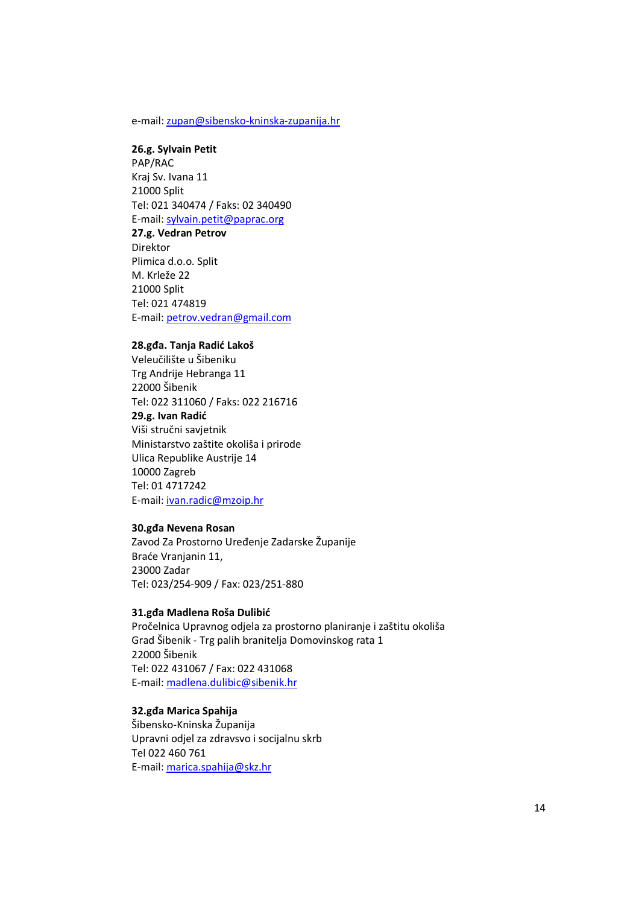#### e-mail: zupan@sibensko-kninska-zupanija.hr

# **26.g. Sylvain Petit**

PAP/RAC Kraj Sv. Ivana 11 21000 Split Tel: 021 340474 / Faks: 02 340490 E-mail: sylvain.petit@paprac.org **27.g. Vedran Petrov** 

Direktor Plimica d.o.o. Split M. Krleže 22 21000 Split Tel: 021 474819 E-mail: petrov.vedran@gmail.com

#### **28.gđa. Tanja Radić Lakoš**

Veleučilište u Šibeniku Trg Andrije Hebranga 11 22000 Šibenik Tel: 022 311060 / Faks: 022 216716 **29.g. Ivan Radić**  Viši stručni savjetnik Ministarstvo zaštite okoliša i prirode Ulica Republike Austrije 14 10000 Zagreb Tel: 01 4717242 E-mail: ivan.radic@mzoip.hr

# **30.gđa Nevena Rosan**

Zavod Za Prostorno Uređenje Zadarske Županije Braće Vranjanin 11, 23000 Zadar Tel: 023/254-909 / Fax: 023/251-880

#### **31.gđa Madlena Roša Dulibić**

Pročelnica Upravnog odjela za prostorno planiranje i zaštitu okoliša Grad Šibenik - Trg palih branitelja Domovinskog rata 1 22000 Šibenik Tel: 022 431067 / Fax: 022 431068 E-mail: madlena.dulibic@sibenik.hr

# **32.gđa Marica Spahija**

Šibensko-Kninska Županija Upravni odjel za zdravsvo i socijalnu skrb Tel 022 460 761 E-mail: marica.spahija@skz.hr